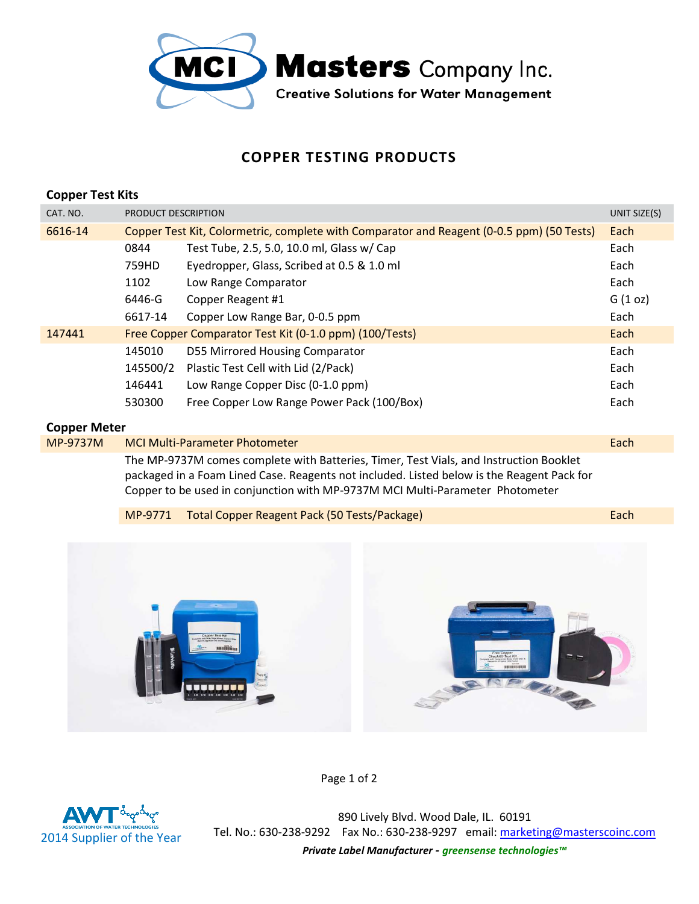

## **COPPER TESTING PRODUCTS**

| <b>Copper Test Kits</b> |                                                                                           |                                                         |              |
|-------------------------|-------------------------------------------------------------------------------------------|---------------------------------------------------------|--------------|
| CAT. NO.                | PRODUCT DESCRIPTION                                                                       |                                                         | UNIT SIZE(S) |
| 6616-14                 | Copper Test Kit, Colormetric, complete with Comparator and Reagent (0-0.5 ppm) (50 Tests) |                                                         |              |
|                         | 0844                                                                                      | Test Tube, 2.5, 5.0, 10.0 ml, Glass w/ Cap              | Each         |
|                         | 759HD                                                                                     | Eyedropper, Glass, Scribed at 0.5 & 1.0 ml              | Each         |
|                         | 1102                                                                                      | Low Range Comparator                                    | Each         |
|                         | 6446-G                                                                                    | Copper Reagent #1                                       | G(1 oz)      |
|                         | 6617-14                                                                                   | Copper Low Range Bar, 0-0.5 ppm                         | Each         |
| 147441                  |                                                                                           | Free Copper Comparator Test Kit (0-1.0 ppm) (100/Tests) | Each         |
|                         | 145010                                                                                    | D55 Mirrored Housing Comparator                         | Each         |
|                         | 145500/2                                                                                  | Plastic Test Cell with Lid (2/Pack)                     | Each         |
|                         | 146441                                                                                    | Low Range Copper Disc (0-1.0 ppm)                       | Each         |
|                         | 530300                                                                                    | Free Copper Low Range Power Pack (100/Box)              | Each         |
|                         |                                                                                           |                                                         |              |

## **Copper Meter**

| MP-9737M | <b>MCI Multi-Parameter Photometer</b>                                                      | Each |  |
|----------|--------------------------------------------------------------------------------------------|------|--|
|          | The MP-9737M comes complete with Batteries, Timer, Test Vials, and Instruction Booklet     |      |  |
|          | packaged in a Foam Lined Case. Reagents not included. Listed below is the Reagent Pack for |      |  |
|          | Copper to be used in conjunction with MP-9737M MCI Multi-Parameter Photometer              |      |  |
|          |                                                                                            |      |  |

|  | MP-9771 Total Copper Reagent Pack (50 Tests/Package) | Each |
|--|------------------------------------------------------|------|
|--|------------------------------------------------------|------|



Page 1 of 2



890 Lively Blvd. Wood Dale, IL. 60191 Tel. No.: 630-238-9292 Fax No.: 630-238-9297 email: marketing@masterscoinc.com *Private Label Manufacturer - greensense technologies™*